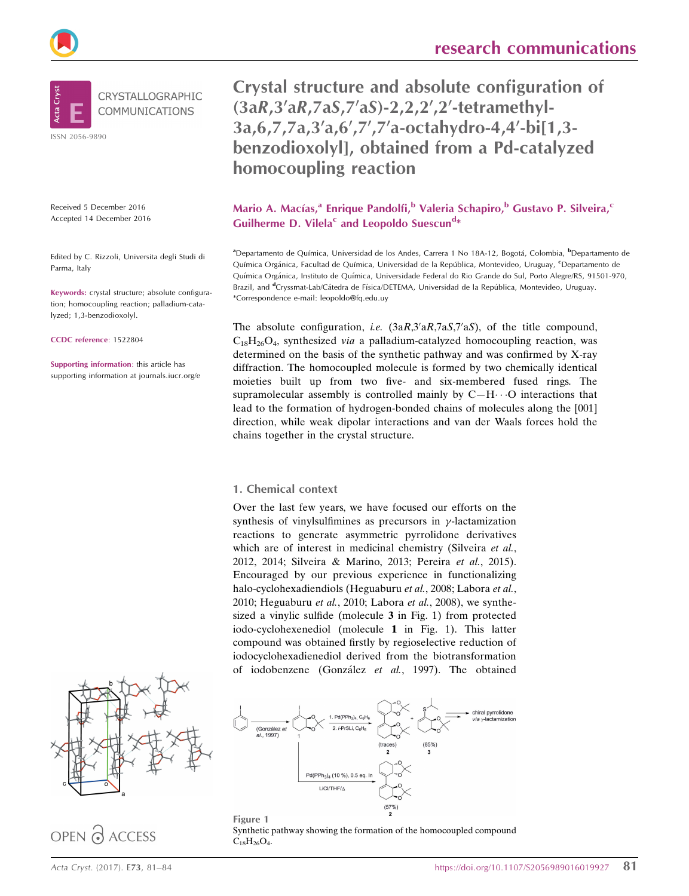Crystal structure and absolute configuration of  $(3aR,3'aR,7aS,7'aS)-2,2,2',2'-tetramethyl-$ 3a, 6, 7, 7a, 3'a, 6', 7', 7' a-octahydro-4, 4'-bi[1, 3benzodioxolyl], obtained from a Pd-catalyzed homocoupling reaction

Mario A. Macías,<sup>a</sup> Enrique Pandolfi,<sup>b</sup> Valeria Schapiro,<sup>b</sup> Gustavo P. Silveira,<sup>c</sup> Guilherme D. Vilela<sup>c</sup> and Leopoldo Suescun<sup>d\*</sup>

<sup>a</sup>Departamento de Química, Universidad de los Andes, Carrera 1 No 18A-12, Bogotá, Colombia, <sup>b</sup>Departamento de Química Orgánica, Facultad de Química, Universidad de la República, Montevideo, Uruguay, <sup>e</sup>Departamento de Química Orgánica, Instituto de Química, Universidade Federal do Rio Grande do Sul, Porto Alegre/RS, 91501-970, Brazil, and <sup>d</sup>Cryssmat-Lab/Cátedra de Física/DETEMA, Universidad de la República, Montevideo, Uruguay. \*Correspondence e-mail: leopoldo@fq.edu.uy

The absolute configuration, i.e.  $(3aR,3'aR,7aS,7'aS)$ , of the title compound,  $C_{18}H_{26}O_4$ , synthesized *via* a palladium-catalyzed homocoupling reaction, was determined on the basis of the synthetic pathway and was confirmed by X-ray diffraction. The homocoupled molecule is formed by two chemically identical moieties built up from two five- and six-membered fused rings. The supramolecular assembly is controlled mainly by  $C-H\cdots O$  interactions that lead to the formation of hydrogen-bonded chains of molecules along the [001] direction, while weak dipolar interactions and van der Waals forces hold the chains together in the crystal structure.

## 1. Chemical context

Over the last few years, we have focused our efforts on the synthesis of vinylsulfimines as precursors in  $\gamma$ -lactamization reactions to generate asymmetric pyrrolidone derivatives which are of interest in medicinal chemistry (Silveira et al., 2012, 2014; Silveira & Marino, 2013; Pereira et al., 2015). Encouraged by our previous experience in functionalizing halo-cyclohexadiendiols (Heguaburu et al., 2008; Labora et al., 2010; Heguaburu et al., 2010; Labora et al., 2008), we synthesized a vinylic sulfide (molecule 3 in Fig. 1) from protected iodo-cyclohexenediol (molecule 1 in Fig. 1). This latter compound was obtained firstly by regioselective reduction of iodocyclohexadienediol derived from the biotransformation of iodobenzene (González et al., 1997). The obtained



Figure 1 Synthetic pathway showing the formation of the homocoupled compound  $C_{18}H_{26}O_4$ .



## OPEN A ACCESS

Received 5 December 2016 Accepted 14 December 2016

Edited by C. Rizzoli, Universita degli Studi di Parma, Italy

Keywords: crystal structure; absolute configuration; homocoupling reaction; palladium-catalyzed; 1,3-benzodioxolyl.

CCDC reference: 1522804

Supporting information: this article has supporting information at journals.iucr.org/e

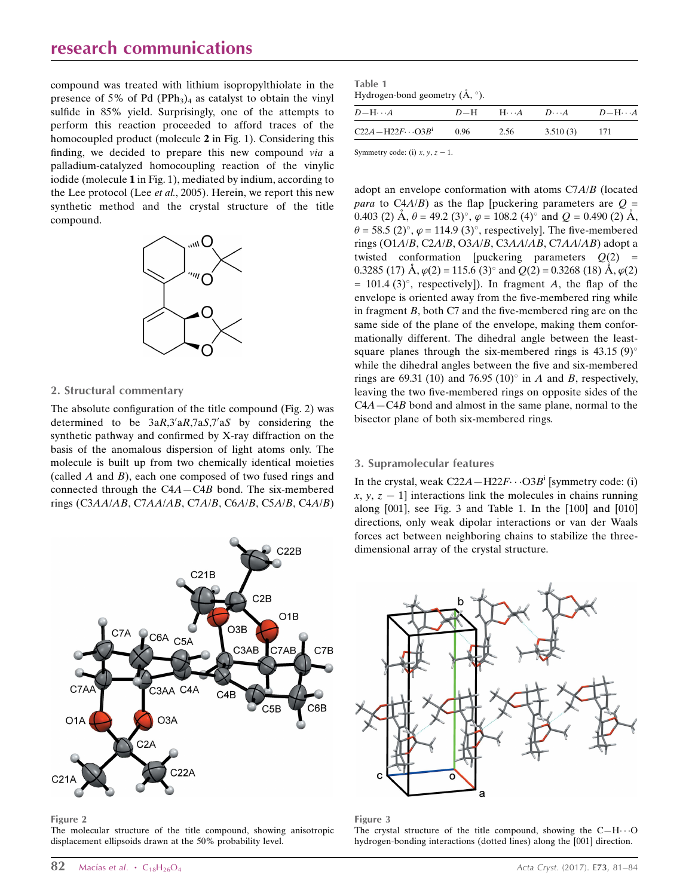## research communications

compound was treated with lithium isopropylthiolate in the presence of 5% of Pd (PPh<sub>3</sub>)<sub>4</sub> as catalyst to obtain the vinyl sulfide in 85% yield. Surprisingly, one of the attempts to perform this reaction proceeded to afford traces of the homocoupled product (molecule 2 in Fig. 1). Considering this finding, we decided to prepare this new compound via a palladium-catalyzed homocoupling reaction of the vinylic iodide (molecule 1 in Fig. 1), mediated by indium, according to the Lee protocol (Lee et al., 2005). Herein, we report this new synthetic method and the crystal structure of the title compound.



#### 2. Structural commentary

The absolute configuration of the title compound (Fig. 2) was determined to be  $3aR,3aR,7aS,7aS$  by considering the synthetic pathway and confirmed by X-ray diffraction on the basis of the anomalous dispersion of light atoms only. The molecule is built up from two chemically identical moieties (called  $A$  and  $B$ ), each one composed of two fused rings and connected through the C4A—C4B bond. The six-membered rings (C3AA/AB, C7AA/AB, C7A/B, C6A/B, C5A/B, C4A/B)



Figure 2

The molecular structure of the title compound, showing anisotropic displacement ellipsoids drawn at the 50% probability level.

Table 1 Hydrogen-bond geometry  $(\mathring{A}, \degree)$ .

| $D-\mathrm{H}\cdots A$     |      |      | $D-H$ H $\cdot A$ $D\cdot A$ $D-H\cdot A$ |     |  |
|----------------------------|------|------|-------------------------------------------|-----|--|
| $C22A - H22F \cdots O3B^i$ | 0.96 | 2.56 | 3.510(3)                                  | 171 |  |
|                            |      |      |                                           |     |  |

Symmetry code: (i)  $x, y, z - 1$ .

adopt an envelope conformation with atoms C7A/B (located *para* to C4A/B) as the flap [puckering parameters are  $Q =$ 0.403 (2)  $\mathring{A}$ ,  $\theta$  = 49.2 (3)°,  $\varphi$  = 108.2 (4)° and  $Q$  = 0.490 (2)  $\mathring{A}$ ,  $\theta$  = 58.5 (2)°,  $\varphi$  = 114.9 (3)°, respectively]. The five-membered rings (O1A/B, C2A/B, O3A/B, C3AA/AB, C7AA/AB) adopt a twisted conformation [puckering parameters  $Q(2)$  = 0.3285 (17)  $\AA$ ,  $\varphi$ (2) = 115.6 (3)° and Q(2) = 0.3268 (18)  $\AA$ ,  $\varphi$ (2)  $= 101.4$  (3)°, respectively]). In fragment A, the flap of the envelope is oriented away from the five-membered ring while in fragment  $B$ , both  $C7$  and the five-membered ring are on the same side of the plane of the envelope, making them conformationally different. The dihedral angle between the leastsquare planes through the six-membered rings is  $43.15(9)^\circ$ while the dihedral angles between the five and six-membered rings are 69.31 (10) and 76.95 (10) $\degree$  in A and B, respectively, leaving the two five-membered rings on opposite sides of the C4A—C4B bond and almost in the same plane, normal to the bisector plane of both six-membered rings.

#### 3. Supramolecular features

In the crystal, weak  $C22A - H22F \cdots O3B^i$  [symmetry code: (i)  $x, y, z - 1$  interactions link the molecules in chains running along [001], see Fig. 3 and Table 1. In the [100] and [010] directions, only weak dipolar interactions or van der Waals forces act between neighboring chains to stabilize the threedimensional array of the crystal structure.



#### Figure 3

The crystal structure of the title compound, showing the  $C-H\cdots O$ hydrogen-bonding interactions (dotted lines) along the [001] direction.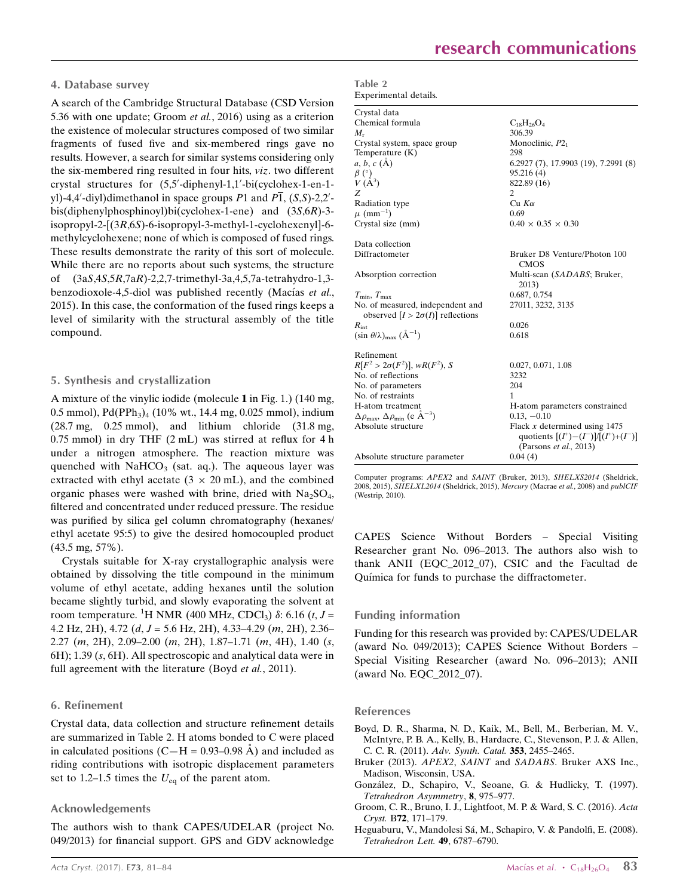#### 4. Database survey

A search of the Cambridge Structural Database (CSD Version 5.36 with one update; Groom et al., 2016) using as a criterion the existence of molecular structures composed of two similar fragments of fused five and six-membered rings gave no results. However, a search for similar systems considering only the six-membered ring resulted in four hits, viz. two different crystal structures for  $(5,5'-diphenyl-1,1'-bi(cyclohex-l-en-1$ yl)-4,4'-diyl)dimethanol in space groups P1 and  $\overline{P1}$ , (S,S)-2,2'bis(diphenylphosphinoyl)bi(cyclohex-1-ene) and (3S,6R)-3 isopropyl-2-[(3R,6S)-6-isopropyl-3-methyl-1-cyclohexenyl]-6 methylcyclohexene; none of which is composed of fused rings. These results demonstrate the rarity of this sort of molecule. While there are no reports about such systems, the structure of (3aS,4S,5R,7aR)-2,2,7-trimethyl-3a,4,5,7a-tetrahydro-1,3 benzodioxole-4,5-diol was published recently (Macías et al., 2015). In this case, the conformation of the fused rings keeps a level of similarity with the structural assembly of the title compound.

#### 5. Synthesis and crystallization

A mixture of the vinylic iodide (molecule 1 in Fig. 1.) (140 mg, 0.5 mmol), Pd(PPh<sub>3</sub>)<sub>4</sub> (10% wt., 14.4 mg, 0.025 mmol), indium (28.7 mg, 0.25 mmol), and lithium chloride (31.8 mg, 0.75 mmol) in dry THF (2 mL) was stirred at reflux for 4 h under a nitrogen atmosphere. The reaction mixture was quenched with  $NaHCO<sub>3</sub>$  (sat. aq.). The aqueous layer was extracted with ethyl acetate  $(3 \times 20 \text{ mL})$ , and the combined organic phases were washed with brine, dried with  $Na<sub>2</sub>SO<sub>4</sub>$ , filtered and concentrated under reduced pressure. The residue was purified by silica gel column chromatography (hexanes/ ethyl acetate 95:5) to give the desired homocoupled product (43.5 mg, 57%).

Crystals suitable for X-ray crystallographic analysis were obtained by dissolving the title compound in the minimum volume of ethyl acetate, adding hexanes until the solution became slightly turbid, and slowly evaporating the solvent at room temperature. <sup>1</sup>H NMR (400 MHz, CDCl<sub>3</sub>)  $\delta$ : 6.16 (*t*, *J* = 4.2 Hz, 2H), 4.72 ( $d, J = 5.6$  Hz, 2H), 4.33–4.29 ( $m, 2H$ ), 2.36– 2.27 (m, 2H), 2.09–2.00 (m, 2H), 1.87–1.71 (m, 4H), 1.40 (s, 6H); 1.39 (s, 6H). All spectroscopic and analytical data were in full agreement with the literature (Boyd et al., 2011).

#### 6. Refinement

Crystal data, data collection and structure refinement details are summarized in Table 2. H atoms bonded to C were placed in calculated positions (C—H =  $0.93-0.98$  Å) and included as riding contributions with isotropic displacement parameters set to 1.2–1.5 times the  $U_{eq}$  of the parent atom.

#### Acknowledgements

The authors wish to thank CAPES/UDELAR (project No. 049/2013) for financial support. GPS and GDV acknowledge

| Table 2 |                       |
|---------|-----------------------|
|         | Experimental details. |

| Crystal data                                                                  |                                                                                                      |
|-------------------------------------------------------------------------------|------------------------------------------------------------------------------------------------------|
|                                                                               |                                                                                                      |
| Chemical formula                                                              | $C_{18}H_{26}O_4$                                                                                    |
| $M_{\rm r}$                                                                   | 306.39                                                                                               |
| Crystal system, space group                                                   | Monoclinic, $P2_1$                                                                                   |
| Temperature (K)                                                               | 298                                                                                                  |
| $a, b, c (\AA)$                                                               | 6.2927 (7), 17.9903 (19), 7.2991 (8)                                                                 |
| $\begin{array}{c} \beta \ (\overset{\circ}{)}{\mathcal{V}}_{A^3} \end{array}$ | 95.216(4)                                                                                            |
|                                                                               | 822.89 (16)                                                                                          |
| Z                                                                             | $\overline{c}$                                                                                       |
| Radiation type                                                                | $Cu$ $K\alpha$                                                                                       |
| $\mu$ (mm <sup>-1</sup> )                                                     | 0.69                                                                                                 |
| Crystal size (mm)                                                             | $0.40 \times 0.35 \times 0.30$                                                                       |
| Data collection                                                               |                                                                                                      |
| Diffractometer                                                                | Bruker D8 Venture/Photon 100<br><b>CMOS</b>                                                          |
| Absorption correction                                                         | Multi-scan (SADABS; Bruker,<br>2013)                                                                 |
| $T_{\min}, T_{\max}$                                                          | 0.687, 0.754                                                                                         |
| No. of measured, independent and<br>observed $[I > 2\sigma(I)]$ reflections   | 27011, 3232, 3135                                                                                    |
| $R_{\rm int}$                                                                 | 0.026                                                                                                |
| $(\sin \theta/\lambda)_{\text{max}} (\AA^{-1})$                               | 0.618                                                                                                |
| Refinement                                                                    |                                                                                                      |
| $R[F^2 > 2\sigma(F^2)], wR(F^2), S$                                           | 0.027, 0.071, 1.08                                                                                   |
| No. of reflections                                                            | 3232                                                                                                 |
| No. of parameters                                                             | 204                                                                                                  |
| No. of restraints                                                             | 1                                                                                                    |
| H-atom treatment                                                              | H-atom parameters constrained                                                                        |
| $\Delta \rho_{\text{max}}$ , $\Delta \rho_{\text{min}}$ (e $\rm{\AA}^{-3}$ )  | $0.13, -0.10$                                                                                        |
| Absolute structure                                                            | Flack $x$ determined using 1475<br>quotients $[(I^*)-(I^-)]/[(I^*)+(I^-)]$<br>(Parsons et al., 2013) |
| Absolute structure parameter                                                  | 0.04(4)                                                                                              |

Computer programs: APEX2 and SAINT (Bruker, 2013), SHELXS2014 (Sheldrick, 2008, 2015), SHELXL2014 (Sheldrick, 2015), Mercury (Macrae et al., 2008) and publCIF (Westrip, 2010).

CAPES Science Without Borders – Special Visiting Researcher grant No. 096–2013. The authors also wish to thank ANII (EQC\_2012\_07), CSIC and the Facultad de Química for funds to purchase the diffractometer.

#### Funding information

Funding for this research was provided by: CAPES/UDELAR (award No. 049/2013); CAPES Science Without Borders – Special Visiting Researcher (award No. 096–2013); ANII (award No. EQC\_2012\_07).

#### References

- [Boyd, D. R., Sharma, N. D., Kaik, M., Bell, M., Berberian, M. V.,](http://scripts.iucr.org/cgi-bin/cr.cgi?rm=pdfbb&cnor=rz5201&bbid=BB1) [McIntyre, P. B. A., Kelly, B., Hardacre, C., Stevenson, P. J. & Allen,](http://scripts.iucr.org/cgi-bin/cr.cgi?rm=pdfbb&cnor=rz5201&bbid=BB1) C. C. R. (2011). [Adv. Synth. Catal.](http://scripts.iucr.org/cgi-bin/cr.cgi?rm=pdfbb&cnor=rz5201&bbid=BB1) 353, 2455–2465.
- Bruker (2013). APEX2, SAINT and SADABS[. Bruker AXS Inc.,](http://scripts.iucr.org/cgi-bin/cr.cgi?rm=pdfbb&cnor=rz5201&bbid=BB2) [Madison, Wisconsin, USA.](http://scripts.iucr.org/cgi-bin/cr.cgi?rm=pdfbb&cnor=rz5201&bbid=BB2)
- González, D., Schapiro, V., Seoane, G. & Hudlicky, T. (1997). [Tetrahedron Asymmetry](http://scripts.iucr.org/cgi-bin/cr.cgi?rm=pdfbb&cnor=rz5201&bbid=BB3), 8, 975–977.
- [Groom, C. R., Bruno, I. J., Lightfoot, M. P. & Ward, S. C. \(2016\).](http://scripts.iucr.org/cgi-bin/cr.cgi?rm=pdfbb&cnor=rz5201&bbid=BB4) Acta Cryst. B72[, 171–179.](http://scripts.iucr.org/cgi-bin/cr.cgi?rm=pdfbb&cnor=rz5201&bbid=BB4)
- Heguaburu, V., Mandolesi Sá, M., Schapiro, V. & Pandolfi, E. (2008). [Tetrahedron Lett.](http://scripts.iucr.org/cgi-bin/cr.cgi?rm=pdfbb&cnor=rz5201&bbid=BB5) 49, 6787–6790.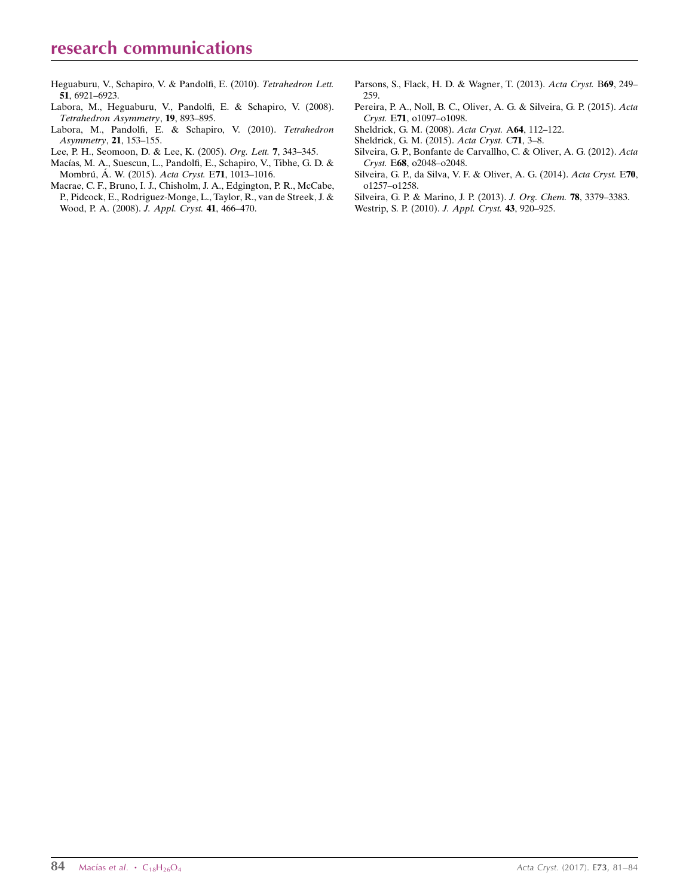- [Heguaburu, V., Schapiro, V. & Pandolfi, E. \(2010\).](http://scripts.iucr.org/cgi-bin/cr.cgi?rm=pdfbb&cnor=rz5201&bbid=BB17) Tetrahedron Lett. 51[, 6921–6923.](http://scripts.iucr.org/cgi-bin/cr.cgi?rm=pdfbb&cnor=rz5201&bbid=BB17)
- [Labora, M., Heguaburu, V., Pandolfi, E. & Schapiro, V. \(2008\).](http://scripts.iucr.org/cgi-bin/cr.cgi?rm=pdfbb&cnor=rz5201&bbid=BB7) [Tetrahedron Asymmetry](http://scripts.iucr.org/cgi-bin/cr.cgi?rm=pdfbb&cnor=rz5201&bbid=BB7), 19, 893–895.
- [Labora, M., Pandolfi, E. & Schapiro, V. \(2010\).](http://scripts.iucr.org/cgi-bin/cr.cgi?rm=pdfbb&cnor=rz5201&bbid=BB8) Tetrahedron [Asymmetry](http://scripts.iucr.org/cgi-bin/cr.cgi?rm=pdfbb&cnor=rz5201&bbid=BB8), 21, 153–155.
- [Lee, P. H., Seomoon, D. & Lee, K. \(2005\).](http://scripts.iucr.org/cgi-bin/cr.cgi?rm=pdfbb&cnor=rz5201&bbid=BB9) Org. Lett. 7, 343–345.
- Macías, M. A., Suescun, L., Pandolfi, E., Schapiro, V., Tibhe, G. D. & Mombrú, Á. W. (2015). Acta Cryst. E71, 1013-1016.
- [Macrae, C. F., Bruno, I. J., Chisholm, J. A., Edgington, P. R., McCabe,](http://scripts.iucr.org/cgi-bin/cr.cgi?rm=pdfbb&cnor=rz5201&bbid=BB11) [P., Pidcock, E., Rodriguez-Monge, L., Taylor, R., van de Streek, J. &](http://scripts.iucr.org/cgi-bin/cr.cgi?rm=pdfbb&cnor=rz5201&bbid=BB11) [Wood, P. A. \(2008\).](http://scripts.iucr.org/cgi-bin/cr.cgi?rm=pdfbb&cnor=rz5201&bbid=BB11) J. Appl. Cryst. 41, 466–470.
- [Parsons, S., Flack, H. D. & Wagner, T. \(2013\).](http://scripts.iucr.org/cgi-bin/cr.cgi?rm=pdfbb&cnor=rz5201&bbid=BB12) Acta Cryst. B69, 249– [259.](http://scripts.iucr.org/cgi-bin/cr.cgi?rm=pdfbb&cnor=rz5201&bbid=BB12)
- [Pereira, P. A., Noll, B. C., Oliver, A. G. & Silveira, G. P. \(2015\).](http://scripts.iucr.org/cgi-bin/cr.cgi?rm=pdfbb&cnor=rz5201&bbid=BB13) Acta Cryst. E71[, o1097–o1098.](http://scripts.iucr.org/cgi-bin/cr.cgi?rm=pdfbb&cnor=rz5201&bbid=BB13)
- [Sheldrick, G. M. \(2008\).](http://scripts.iucr.org/cgi-bin/cr.cgi?rm=pdfbb&cnor=rz5201&bbid=BB15) Acta Cryst. A64, 112–122.
- [Sheldrick, G. M. \(2015\).](http://scripts.iucr.org/cgi-bin/cr.cgi?rm=pdfbb&cnor=rz5201&bbid=BB16) Acta Cryst. C71, 3–8.
- [Silveira, G. P., Bonfante de Carvallho, C. & Oliver, A. G. \(2012\).](http://scripts.iucr.org/cgi-bin/cr.cgi?rm=pdfbb&cnor=rz5201&bbid=BB14) Acta Cryst. E68[, o2048–o2048.](http://scripts.iucr.org/cgi-bin/cr.cgi?rm=pdfbb&cnor=rz5201&bbid=BB14)
- [Silveira, G. P., da Silva, V. F. & Oliver, A. G. \(2014\).](http://scripts.iucr.org/cgi-bin/cr.cgi?rm=pdfbb&cnor=rz5201&bbid=BB17) Acta Cryst. E70, [o1257–o1258.](http://scripts.iucr.org/cgi-bin/cr.cgi?rm=pdfbb&cnor=rz5201&bbid=BB17)
- [Silveira, G. P. & Marino, J. P. \(2013\).](http://scripts.iucr.org/cgi-bin/cr.cgi?rm=pdfbb&cnor=rz5201&bbid=BB18) J. Org. Chem. 78, 3379–3383.
- [Westrip, S. P. \(2010\).](http://scripts.iucr.org/cgi-bin/cr.cgi?rm=pdfbb&cnor=rz5201&bbid=BB19) J. Appl. Cryst. 43, 920–925.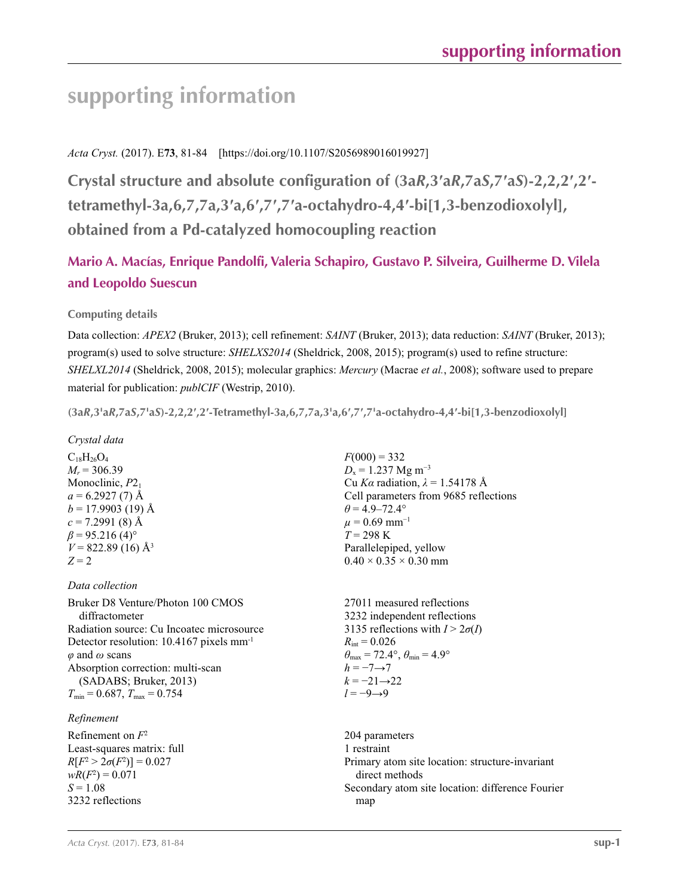# **supporting information**

## *Acta Cryst.* (2017). E**73**, 81-84 [https://doi.org/10.1107/S2056989016019927]

**Crystal structure and absolute configuration of (3a***R***,3′a***R***,7a***S***,7′a***S***)-2,2,2′,2′ tetramethyl-3a,6,7,7a,3′a,6′,7′,7′a-octahydro-4,4′-bi[1,3-benzodioxolyl], obtained from a Pd-catalyzed homocoupling reaction**

## **Mario A. Macías, Enrique Pandolfi, Valeria Schapiro, Gustavo P. Silveira, Guilherme D. Vilela and Leopoldo Suescun**

## **Computing details**

Data collection: *APEX2* (Bruker, 2013); cell refinement: *SAINT* (Bruker, 2013); data reduction: *SAINT* (Bruker, 2013); program(s) used to solve structure: *SHELXS2014* (Sheldrick, 2008, 2015); program(s) used to refine structure: *SHELXL2014* (Sheldrick, 2008, 2015); molecular graphics: *Mercury* (Macrae *et al.*, 2008); software used to prepare material for publication: *publCIF* (Westrip, 2010).

(3aR,3'aR,7aS,7'aS)-2,2,2',2'-Tetramethyl-3a,6,7,7a,3'a,6',7',7'a-octahydro-4,4'-bi[1,3-benzodioxolyl]

## *Crystal data*

 $C_{18}H_{26}O_4$  $M_r$  = 306.39 Monoclinic,  $P2<sub>1</sub>$  $a = 6.2927(7)$  Å  $b = 17.9903$  (19) Å  $c = 7.2991(8)$  Å  $\beta$  = 95.216 (4)<sup>o</sup>  $V = 822.89$  (16) Å<sup>3</sup>  $Z = 2$ 

### *Data collection*

Bruker D8 Venture/Photon 100 CMOS diffractometer Radiation source: Cu Incoatec microsource Detector resolution: 10.4167 pixels mm-1 *φ* and *ω* scans Absorption correction: multi-scan (SADABS; Bruker, 2013)  $T_{\text{min}} = 0.687, T_{\text{max}} = 0.754$ 

### *Refinement*

Refinement on *F*<sup>2</sup> Least-squares matrix: full  $R[F^2 > 2\sigma(F^2)] = 0.027$  $wR(F^2) = 0.071$  $S = 1.08$ 3232 reflections

 $F(000) = 332$  $D_x = 1.237$  Mg m<sup>-3</sup> Cu *Kα* radiation, *λ* = 1.54178 Å Cell parameters from 9685 reflections  $\theta$  = 4.9–72.4°  $\mu$  = 0.69 mm<sup>-1</sup>  $T = 298$  K Parallelepiped, yellow  $0.40 \times 0.35 \times 0.30$  mm

27011 measured reflections 3232 independent reflections 3135 reflections with  $I > 2\sigma(I)$  $R_{\text{int}} = 0.026$  $\theta_{\text{max}} = 72.4^{\circ}, \theta_{\text{min}} = 4.9^{\circ}$  $h = -7 \rightarrow 7$  $k = -21 \rightarrow 22$ *l* = −9→9

204 parameters 1 restraint Primary atom site location: structure-invariant direct methods Secondary atom site location: difference Fourier map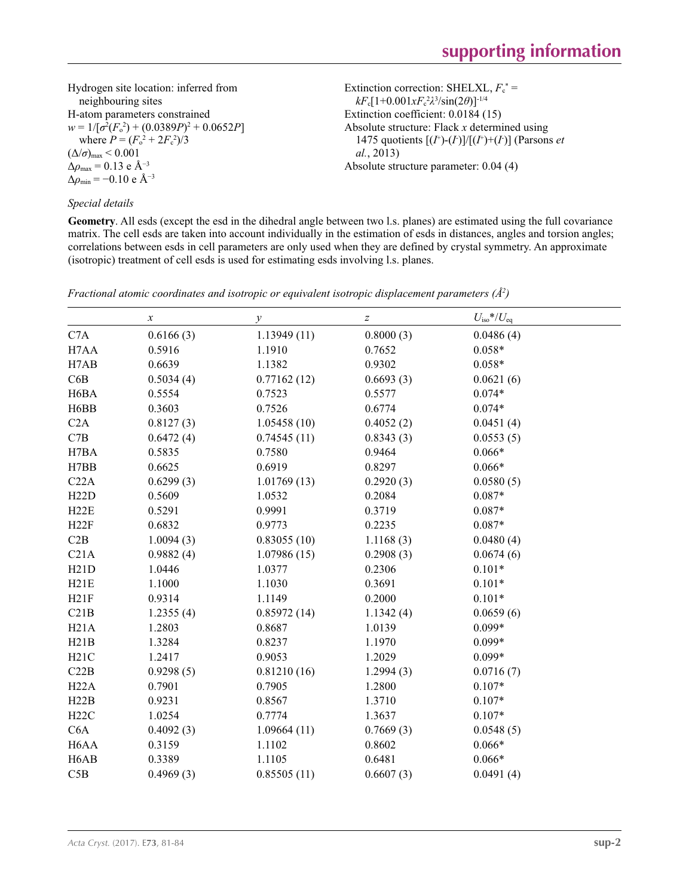Extinction correction: SHELXL,  $F_c^*$  = *kF*c[1+0.001*xF*<sup>c</sup> 2 *λ*3 /sin(2*θ*)]-1/4 Extinction coefficient: 0.0184 (15)

Absolute structure parameter: 0.04 (4)

Absolute structure: Flack *x* determined using 1475 quotients  $[(I^+)(I)]/[(I^+)+(I)]$  (Parsons *et* 

Hydrogen site location: inferred from neighbouring sites H-atom parameters constrained  $w = 1/[\sigma^2 (F_o^2) + (0.0389P)^2 + 0.0652P]$ where  $P = (F_o^2 + 2F_c^2)/3$  $(\Delta/\sigma)_{\text{max}}$  < 0.001 Δ*ρ*max = 0.13 e Å−3  $\Delta \rho_{\text{min}} = -0.10$  e Å<sup>-3</sup>

### *Special details*

**Geometry**. All esds (except the esd in the dihedral angle between two l.s. planes) are estimated using the full covariance matrix. The cell esds are taken into account individually in the estimation of esds in distances, angles and torsion angles; correlations between esds in cell parameters are only used when they are defined by crystal symmetry. An approximate (isotropic) treatment of cell esds is used for estimating esds involving l.s. planes.

*al.*, 2013)

|                   | $\boldsymbol{x}$ | $\mathcal{Y}$ | $\boldsymbol{Z}$ | $U_{\rm iso}*/U_{\rm eq}$ |  |
|-------------------|------------------|---------------|------------------|---------------------------|--|
| C7A               | 0.6166(3)        | 1.13949(11)   | 0.8000(3)        | 0.0486(4)                 |  |
| H7AA              | 0.5916           | 1.1910        | 0.7652           | $0.058*$                  |  |
| H7AB              | 0.6639           | 1.1382        | 0.9302           | $0.058*$                  |  |
| C6B               | 0.5034(4)        | 0.77162(12)   | 0.6693(3)        | 0.0621(6)                 |  |
| H <sub>6</sub> BA | 0.5554           | 0.7523        | 0.5577           | $0.074*$                  |  |
| H <sub>6</sub> BB | 0.3603           | 0.7526        | 0.6774           | $0.074*$                  |  |
| C2A               | 0.8127(3)        | 1.05458(10)   | 0.4052(2)        | 0.0451(4)                 |  |
| C7B               | 0.6472(4)        | 0.74545(11)   | 0.8343(3)        | 0.0553(5)                 |  |
| H7BA              | 0.5835           | 0.7580        | 0.9464           | $0.066*$                  |  |
| H7BB              | 0.6625           | 0.6919        | 0.8297           | $0.066*$                  |  |
| C22A              | 0.6299(3)        | 1.01769(13)   | 0.2920(3)        | 0.0580(5)                 |  |
| H22D              | 0.5609           | 1.0532        | 0.2084           | $0.087*$                  |  |
| H22E              | 0.5291           | 0.9991        | 0.3719           | $0.087*$                  |  |
| H22F              | 0.6832           | 0.9773        | 0.2235           | $0.087*$                  |  |
| C2B               | 1.0094(3)        | 0.83055(10)   | 1.1168(3)        | 0.0480(4)                 |  |
| C21A              | 0.9882(4)        | 1.07986(15)   | 0.2908(3)        | 0.0674(6)                 |  |
| H21D              | 1.0446           | 1.0377        | 0.2306           | $0.101*$                  |  |
| H21E              | 1.1000           | 1.1030        | 0.3691           | $0.101*$                  |  |
| H21F              | 0.9314           | 1.1149        | 0.2000           | $0.101*$                  |  |
| C21B              | 1.2355(4)        | 0.85972(14)   | 1.1342(4)        | 0.0659(6)                 |  |
| H21A              | 1.2803           | 0.8687        | 1.0139           | $0.099*$                  |  |
| H21B              | 1.3284           | 0.8237        | 1.1970           | $0.099*$                  |  |
| H21C              | 1.2417           | 0.9053        | 1.2029           | $0.099*$                  |  |
| C22B              | 0.9298(5)        | 0.81210(16)   | 1.2994(3)        | 0.0716(7)                 |  |
| H22A              | 0.7901           | 0.7905        | 1.2800           | $0.107*$                  |  |
| H22B              | 0.9231           | 0.8567        | 1.3710           | $0.107*$                  |  |
| H22C              | 1.0254           | 0.7774        | 1.3637           | $0.107*$                  |  |
| C6A               | 0.4092(3)        | 1.09664(11)   | 0.7669(3)        | 0.0548(5)                 |  |
| H <sub>6</sub> AA | 0.3159           | 1.1102        | 0.8602           | $0.066*$                  |  |
| H <sub>6</sub> AB | 0.3389           | 1.1105        | 0.6481           | $0.066*$                  |  |
| C5B               | 0.4969(3)        | 0.85505(11)   | 0.6607(3)        | 0.0491(4)                 |  |

*Fractional atomic coordinates and isotropic or equivalent isotropic displacement parameters (Å<sup>2</sup>)*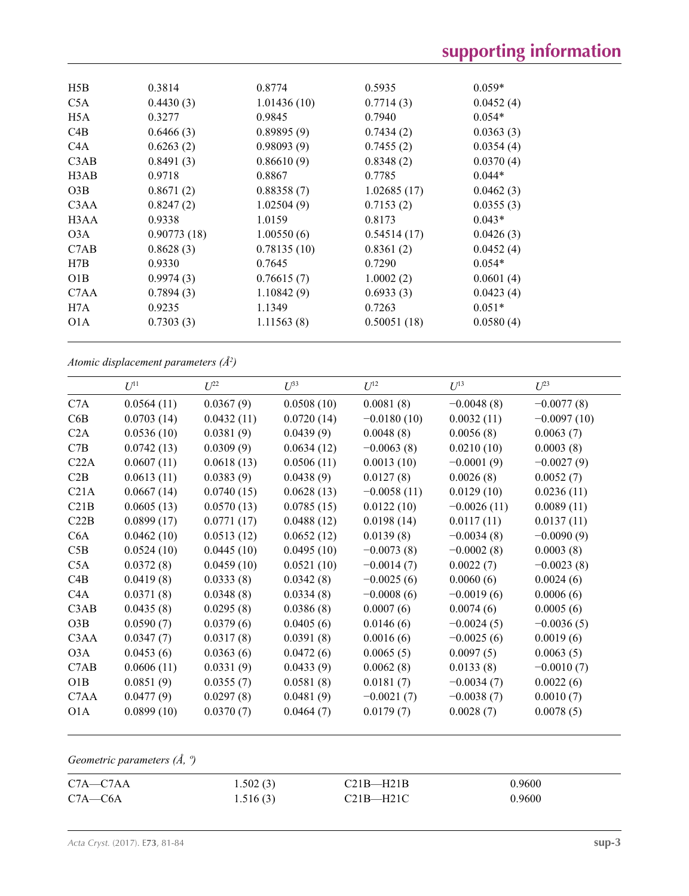| H5B                           | 0.3814      | 0.8774      | 0.5935      | $0.059*$  |  |
|-------------------------------|-------------|-------------|-------------|-----------|--|
| C <sub>5</sub> A              | 0.4430(3)   | 1.01436(10) | 0.7714(3)   | 0.0452(4) |  |
| H <sub>5</sub> A              | 0.3277      | 0.9845      | 0.7940      | $0.054*$  |  |
| C4B                           | 0.6466(3)   | 0.89895(9)  | 0.7434(2)   | 0.0363(3) |  |
| C <sub>4</sub> A              | 0.6263(2)   | 0.98093(9)  | 0.7455(2)   | 0.0354(4) |  |
| C3AB                          | 0.8491(3)   | 0.86610(9)  | 0.8348(2)   | 0.0370(4) |  |
| H3AB                          | 0.9718      | 0.8867      | 0.7785      | $0.044*$  |  |
| O3B                           | 0.8671(2)   | 0.88358(7)  | 1.02685(17) | 0.0462(3) |  |
| C <sub>3</sub> A <sub>A</sub> | 0.8247(2)   | 1.02504(9)  | 0.7153(2)   | 0.0355(3) |  |
| H <sub>3</sub> A <sub>A</sub> | 0.9338      | 1.0159      | 0.8173      | $0.043*$  |  |
| O3A                           | 0.90773(18) | 1.00550(6)  | 0.54514(17) | 0.0426(3) |  |
| C7AB                          | 0.8628(3)   | 0.78135(10) | 0.8361(2)   | 0.0452(4) |  |
| H7B                           | 0.9330      | 0.7645      | 0.7290      | $0.054*$  |  |
| O1B                           | 0.9974(3)   | 0.76615(7)  | 1.0002(2)   | 0.0601(4) |  |
| C <sub>7</sub> A <sub>A</sub> | 0.7894(3)   | 1.10842(9)  | 0.6933(3)   | 0.0423(4) |  |
| H7A                           | 0.9235      | 1.1349      | 0.7263      | $0.051*$  |  |
| O <sub>1</sub> A              | 0.7303(3)   | 1.11563(8)  | 0.50051(18) | 0.0580(4) |  |
|                               |             |             |             |           |  |

*Atomic displacement parameters (Å2 )*

|                               | $U^{11}$   | $U^{22}$   | $U^{33}$   | $U^{12}$      | $U^{13}$      | $U^{23}$      |
|-------------------------------|------------|------------|------------|---------------|---------------|---------------|
| C7A                           | 0.0564(11) | 0.0367(9)  | 0.0508(10) | 0.0081(8)     | $-0.0048(8)$  | $-0.0077(8)$  |
| C6B                           | 0.0703(14) | 0.0432(11) | 0.0720(14) | $-0.0180(10)$ | 0.0032(11)    | $-0.0097(10)$ |
| C2A                           | 0.0536(10) | 0.0381(9)  | 0.0439(9)  | 0.0048(8)     | 0.0056(8)     | 0.0063(7)     |
| C7B                           | 0.0742(13) | 0.0309(9)  | 0.0634(12) | $-0.0063(8)$  | 0.0210(10)    | 0.0003(8)     |
| C22A                          | 0.0607(11) | 0.0618(13) | 0.0506(11) | 0.0013(10)    | $-0.0001(9)$  | $-0.0027(9)$  |
| C2B                           | 0.0613(11) | 0.0383(9)  | 0.0438(9)  | 0.0127(8)     | 0.0026(8)     | 0.0052(7)     |
| C21A                          | 0.0667(14) | 0.0740(15) | 0.0628(13) | $-0.0058(11)$ | 0.0129(10)    | 0.0236(11)    |
| C21B                          | 0.0605(13) | 0.0570(13) | 0.0785(15) | 0.0122(10)    | $-0.0026(11)$ | 0.0089(11)    |
| C22B                          | 0.0899(17) | 0.0771(17) | 0.0488(12) | 0.0198(14)    | 0.0117(11)    | 0.0137(11)    |
| C6A                           | 0.0462(10) | 0.0513(12) | 0.0652(12) | 0.0139(8)     | $-0.0034(8)$  | $-0.0090(9)$  |
| C5B                           | 0.0524(10) | 0.0445(10) | 0.0495(10) | $-0.0073(8)$  | $-0.0002(8)$  | 0.0003(8)     |
| C5A                           | 0.0372(8)  | 0.0459(10) | 0.0521(10) | $-0.0014(7)$  | 0.0022(7)     | $-0.0023(8)$  |
| C4B                           | 0.0419(8)  | 0.0333(8)  | 0.0342(8)  | $-0.0025(6)$  | 0.0060(6)     | 0.0024(6)     |
| C4A                           | 0.0371(8)  | 0.0348(8)  | 0.0334(8)  | $-0.0008(6)$  | $-0.0019(6)$  | 0.0006(6)     |
| C3AB                          | 0.0435(8)  | 0.0295(8)  | 0.0386(8)  | 0.0007(6)     | 0.0074(6)     | 0.0005(6)     |
| O3B                           | 0.0590(7)  | 0.0379(6)  | 0.0405(6)  | 0.0146(6)     | $-0.0024(5)$  | $-0.0036(5)$  |
| C <sub>3</sub> A <sub>A</sub> | 0.0347(7)  | 0.0317(8)  | 0.0391(8)  | 0.0016(6)     | $-0.0025(6)$  | 0.0019(6)     |
| O3A                           | 0.0453(6)  | 0.0363(6)  | 0.0472(6)  | 0.0065(5)     | 0.0097(5)     | 0.0063(5)     |
| C7AB                          | 0.0606(11) | 0.0331(9)  | 0.0433(9)  | 0.0062(8)     | 0.0133(8)     | $-0.0010(7)$  |
| O1B                           | 0.0851(9)  | 0.0355(7)  | 0.0581(8)  | 0.0181(7)     | $-0.0034(7)$  | 0.0022(6)     |
| C7AA                          | 0.0477(9)  | 0.0297(8)  | 0.0481(9)  | $-0.0021(7)$  | $-0.0038(7)$  | 0.0010(7)     |
| O <sub>1</sub> A              | 0.0899(10) | 0.0370(7)  | 0.0464(7)  | 0.0179(7)     | 0.0028(7)     | 0.0078(5)     |
|                               |            |            |            |               |               |               |

*Geometric parameters (Å, º)*

| $C7A - C7AA$ | 1.502(3) | C21B—H21B | 0.9600 |
|--------------|----------|-----------|--------|
| $C7A - C6A$  | 1.516(3) | C21B-H21C | 0.9600 |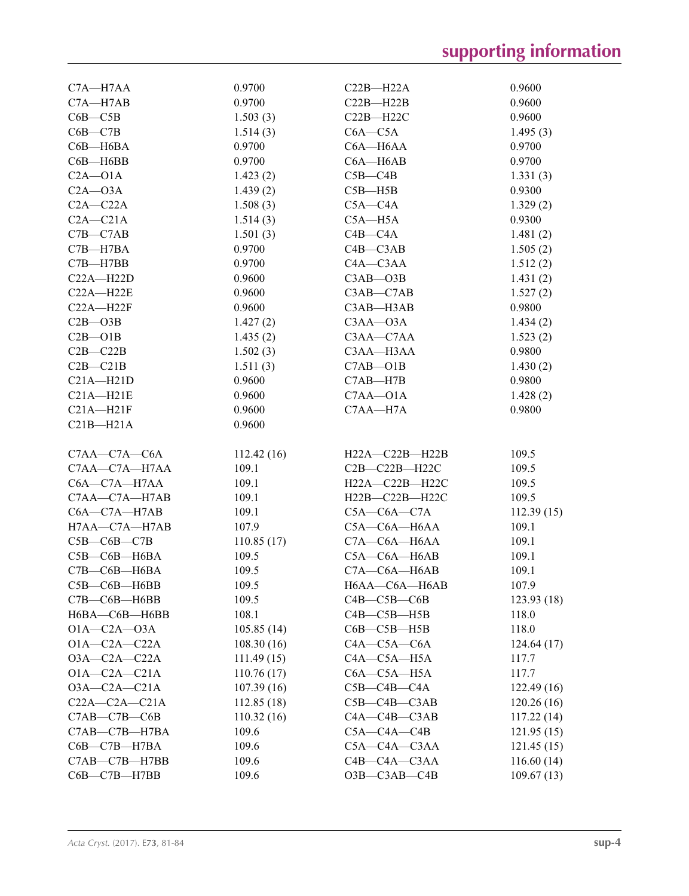| C7A-H7AA            | 0.9700     | $C22B - H22A$      | 0.9600     |
|---------------------|------------|--------------------|------------|
| $C7A - H7AB$        | 0.9700     | $C22B - H22B$      | 0.9600     |
| $C6B - C5B$         | 1.503(3)   | $C22B - H22C$      | 0.9600     |
| $C6B - C7B$         | 1.514(3)   | $C6A - C5A$        | 1.495(3)   |
| $C6B - H6BA$        | 0.9700     | $C6A - H6AA$       | 0.9700     |
| $C6B - H6BB$        | 0.9700     | $C6A - H6AB$       | 0.9700     |
| $C2A - O1A$         | 1.423(2)   | $C5B - C4B$        | 1.331(3)   |
| $C2A - O3A$         | 1.439(2)   | $C5B - H5B$        | 0.9300     |
| $C2A - C22A$        | 1.508(3)   | $C5A - C4A$        | 1.329(2)   |
| $C2A - C21A$        |            | $C5A - H5A$        | 0.9300     |
|                     | 1.514(3)   |                    |            |
| $C7B - C7AB$        | 1.501(3)   | $C4B - C4A$        | 1.481(2)   |
| $C7B - H7BA$        | 0.9700     | $C4B - C3AB$       | 1.505(2)   |
| $C7B - H7BB$        | 0.9700     | $C4A - C3AA$       | 1.512(2)   |
| $C22A - H22D$       | 0.9600     | $C3AB - O3B$       | 1.431(2)   |
| $C22A - H22E$       | 0.9600     | $C3AB - C7AB$      | 1.527(2)   |
| $C22A - H22F$       | 0.9600     | C3AB-H3AB          | 0.9800     |
| $C2B - O3B$         | 1.427(2)   | $C3AA - O3A$       | 1.434(2)   |
| $C2B - O1B$         | 1.435(2)   | $C3AA - C7AA$      | 1.523(2)   |
| $C2B - C22B$        | 1.502(3)   | C3AA-H3AA          | 0.9800     |
| $C2B - C21B$        | 1.511(3)   | $C7AB - O1B$       | 1.430(2)   |
| $C21A - H21D$       | 0.9600     | $C7AB - H7B$       | 0.9800     |
| $C21A - H21E$       | 0.9600     | $C7AA - O1A$       | 1.428(2)   |
| $C21A - H21F$       | 0.9600     | C7AA-H7A           | 0.9800     |
| $C21B - H21A$       | 0.9600     |                    |            |
|                     |            |                    |            |
| $C7AA - C7A - C6A$  | 112.42(16) | H22A-C22B-H22B     | 109.5      |
| C7AA-C7A-H7AA       | 109.1      | $C2B-C22B-H22C$    | 109.5      |
| $C6A - C7A - H7AA$  | 109.1      | H22A-C22B-H22C     | 109.5      |
| C7AA-C7A-H7AB       | 109.1      | H22B-C22B-H22C     | 109.5      |
| $C6A - C7A - H7AB$  | 109.1      | $C5A-C6A-C7A$      | 112.39(15) |
| H7AA-C7A-H7AB       | 107.9      | $C5A - C6A - H6AA$ | 109.1      |
| $C5B-C6B-C7B$       | 110.85(17) | $C7A - C6A - H6AA$ | 109.1      |
| $C5B - C6B - H6BA$  | 109.5      | $C5A - C6A - H6AB$ | 109.1      |
| $C7B - C6B - H6BA$  | 109.5      | $C7A - C6A - H6AB$ | 109.1      |
| C5B-C6B-H6BB        | 109.5      | H6AA-C6A-H6AB      | 107.9      |
|                     |            |                    |            |
| $C7B - C6B - H6BB$  | 109.5      | $C4B - C5B - C6B$  | 123.93(18) |
| H6BA-C6B-H6BB       | 108.1      | $C4B - C5B - H5B$  | 118.0      |
| $O1A - C2A - O3A$   | 105.85(14) | $C6B - C5B - H5B$  | 118.0      |
| $O1A - C2A - C22A$  | 108.30(16) | $C4A - C5A - C6A$  | 124.64(17) |
| $O3A-C2A-C22A$      | 111.49(15) | $C4A - C5A - H5A$  | 117.7      |
| $O1A - C2A - C21A$  | 110.76(17) | C6A-C5A-H5A        | 117.7      |
| $O3A - C2A - C21A$  | 107.39(16) | $C5B - C4B - C4A$  | 122.49(16) |
| $C22A - C2A - C21A$ | 112.85(18) | $C5B - C4B - C3AB$ | 120.26(16) |
| $C7AB - C7B - C6B$  | 110.32(16) | $C4A - C4B - C3AB$ | 117.22(14) |
| C7AB—C7B—H7BA       | 109.6      | $C5A - C4A - C4B$  | 121.95(15) |
| $C6B - C7B - H7BA$  | 109.6      | $C5A - C4A - C3AA$ | 121.45(15) |
| C7AB—C7B—H7BB       | 109.6      | C4B-C4A-C3AA       | 116.60(14) |
| $C6B - C7B - H7BB$  | 109.6      | $O3B - C3AB - C4B$ | 109.67(13) |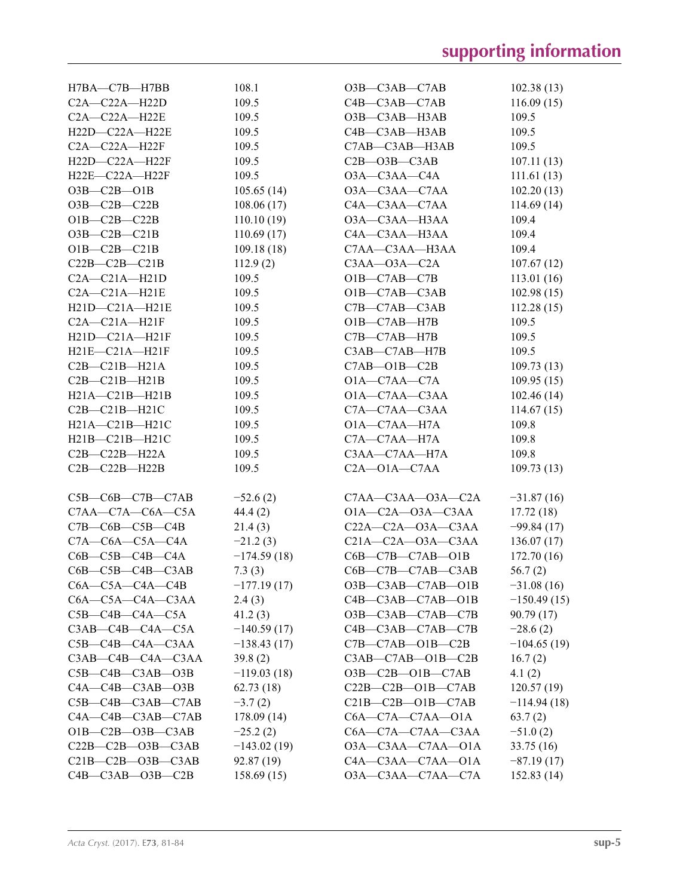| H7BA—C7B—H7BB                   | 108.1         | $O3B$ — $C3AB$ — $C7AB$         | 102.38(13)    |
|---------------------------------|---------------|---------------------------------|---------------|
| $C2A - C22A - H22D$             | 109.5         | $C4B - C3AB - C7AB$             | 116.09(15)    |
| $C2A - C22A - H22E$             | 109.5         | O3B-C3AB-H3AB                   | 109.5         |
| H22D-C22A-H22E                  | 109.5         | C4B-C3AB-H3AB                   | 109.5         |
| $C2A - C22A - H22F$             | 109.5         | C7AB-C3AB-H3AB                  | 109.5         |
| $H22D-C22A-H22F$                | 109.5         | $C2B - O3B - C3AB$              | 107.11(13)    |
| $H22E-C22A-H22F$                | 109.5         | O3A-C3AA-C4A                    | 111.61(13)    |
| $O3B - C2B - O1B$               | 105.65(14)    | O3A-C3AA-C7AA                   | 102.20(13)    |
| $O3B-C2B-C22B$                  | 108.06(17)    | C4A-C3AA-C7AA                   | 114.69(14)    |
| $O1B - C2B - C22B$              | 110.10(19)    | O3A-C3AA-H3AA                   | 109.4         |
| $O3B - C2B - C21B$              | 110.69(17)    | C4A-C3AA-H3AA                   | 109.4         |
| $O1B-C2B-C21B$                  | 109.18(18)    | C7AA-C3AA-H3AA                  | 109.4         |
| $C22B-C2B-C21B$                 | 112.9(2)      | $C3AA - O3A - C2A$              | 107.67(12)    |
| $C2A - C21A - H21D$             | 109.5         | $O1B - C7AB - C7B$              | 113.01(16)    |
| $C2A - C21A - H21E$             | 109.5         | $O1B - C7AB - C3AB$             | 102.98(15)    |
| $H21D-C21A-H21E$                | 109.5         | C7B-C7AB-C3AB                   |               |
|                                 | 109.5         |                                 | 112.28(15)    |
| $C2A - C21A - H21F$             |               | $O1B - C7AB - H7B$              | 109.5         |
| $H21D-C21A-H21F$                | 109.5         | $C7B - C7AB - H7B$              | 109.5         |
| H21E-C21A-H21F                  | 109.5         | $C3AB - C7AB - H7B$             | 109.5         |
| $C2B - C21B - H21A$             | 109.5         | $C7AB - O1B - C2B$              | 109.73(13)    |
| $C2B - C21B - H21B$             | 109.5         | $O1A - C7AA - C7A$              | 109.95(15)    |
| $H21A - C21B - H21B$            | 109.5         | $O1A - C7AA - C3AA$             | 102.46(14)    |
| $C2B - C21B - H21C$             | 109.5         | C7A-C7AA-C3AA                   | 114.67(15)    |
| $H21A - C21B - H21C$            | 109.5         | $O1A - C7AA - H7A$              | 109.8         |
| H21B-C21B-H21C                  | 109.5         | C7A-C7AA-H7A                    | 109.8         |
| $C2B - C22B - H22A$             | 109.5         | C3AA-C7AA-H7A                   | 109.8         |
| $C2B - C22B - H22B$             | 109.5         | $C2A - O1A - C7AA$              | 109.73(13)    |
|                                 |               |                                 |               |
| $C5B - C6B - C7B - C7AB$        | $-52.6(2)$    | $C7AA - C3AA - O3A - C2A$       | $-31.87(16)$  |
| $C7AA - C7A - C6A - C5A$        | 44.4(2)       | $O1A - C2A - O3A - C3AA$        | 17.72(18)     |
| $C7B - C6B - C5B - C4B$         | 21.4(3)       | $C22A - C2A - O3A - C3AA$       | $-99.84(17)$  |
| $C7A - C6A - C5A - C4A$         | $-21.2(3)$    | $C21A - C2A - O3A - C3AA$       | 136.07(17)    |
| $C6B - C5B - C4B - C4A$         | $-174.59(18)$ | $C6B - C7B - C7AB - O1B$        | 172.70(16)    |
| $C6B - C5B - C4B - C3AB$        | 7.3(3)        | C6B-C7B-C7AB-C3AB               | 56.7(2)       |
| $C6A - C5A - C4A - C4B$         | $-177.19(17)$ | $O3B$ — $C3AB$ — $C7AB$ — $O1B$ | $-31.08(16)$  |
| $C6A - C5A - C4A - C3AA$        | 2.4(3)        | $C4B - C3AB - C7AB - O1B$       | $-150.49(15)$ |
| $C5B-C4B-C4A-C5A$               | 41.2(3)       | $O3B$ — $C3AB$ — $C7AB$ — $C7B$ | 90.79(17)     |
| $C3AB - C4B - C4A - C5A$        | $-140.59(17)$ | $C4B - C3AB - C7AB - C7B$       | $-28.6(2)$    |
| $C5B$ — $C4B$ — $C4A$ — $C3AA$  | $-138.43(17)$ | $C7B - C7AB - O1B - C2B$        | $-104.65(19)$ |
| $C3AB$ — $C4B$ — $C4A$ — $C3AA$ | 39.8(2)       | $C3AB - C7AB - O1B - C2B$       | 16.7(2)       |
| $C5B - C4B - C3AB - O3B$        | $-119.03(18)$ | $O3B - C2B - O1B - C7AB$        | 4.1(2)        |
| $C4A - C4B - C3AB - O3B$        | 62.73(18)     | $C22B - C2B - O1B - C7AB$       | 120.57(19)    |
| $C5B - C4B - C3AB - C7AB$       | $-3.7(2)$     | $C21B - C2B - O1B - C7AB$       | $-114.94(18)$ |
| $C4A - C4B - C3AB - C7AB$       | 178.09(14)    | $C6A - C7A - C7AA - O1A$        | 63.7(2)       |
| $O1B - C2B - O3B - C3AB$        | $-25.2(2)$    | C6A-C7A-C7AA-C3AA               | $-51.0(2)$    |
| $C22B - C2B - O3B - C3AB$       | $-143.02(19)$ | $O3A$ — $C3AA$ — $C7AA$ — $O1A$ | 33.75 (16)    |
| $C21B - C2B - O3B - C3AB$       | 92.87(19)     | $C4A - C3AA - C7AA - O1A$       | $-87.19(17)$  |
| $C4B - C3AB - O3B - C2B$        | 158.69(15)    | O3A-C3AA-C7AA-C7A               | 152.83(14)    |
|                                 |               |                                 |               |